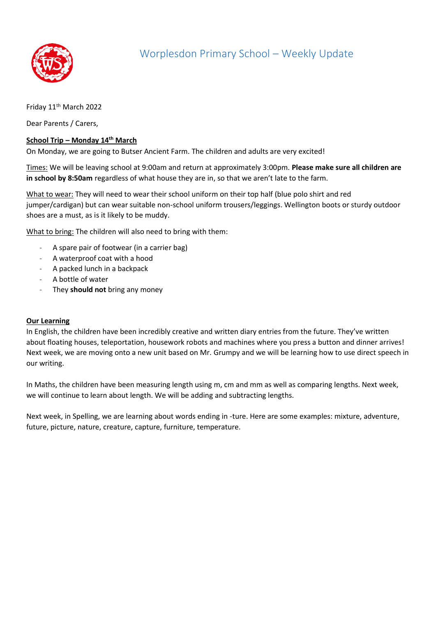

Friday 11<sup>th</sup> March 2022

Dear Parents / Carers,

## **School Trip – Monday 14th March**

On Monday, we are going to Butser Ancient Farm. The children and adults are very excited!

Times: We will be leaving school at 9:00am and return at approximately 3:00pm. **Please make sure all children are in school by 8:50am** regardless of what house they are in, so that we aren't late to the farm.

What to wear: They will need to wear their school uniform on their top half (blue polo shirt and red jumper/cardigan) but can wear suitable non-school uniform trousers/leggings. Wellington boots or sturdy outdoor shoes are a must, as is it likely to be muddy.

What to bring: The children will also need to bring with them:

- A spare pair of footwear (in a carrier bag)
- A waterproof coat with a hood
- A packed lunch in a backpack
- A bottle of water
- They **should not** bring any money

## **Our Learning**

In English, the children have been incredibly creative and written diary entries from the future. They've written about floating houses, teleportation, housework robots and machines where you press a button and dinner arrives! Next week, we are moving onto a new unit based on Mr. Grumpy and we will be learning how to use direct speech in our writing.

In Maths, the children have been measuring length using m, cm and mm as well as comparing lengths. Next week, we will continue to learn about length. We will be adding and subtracting lengths.

Next week, in Spelling, we are learning about words ending in -ture. Here are some examples: mixture, adventure, future, picture, nature, creature, capture, furniture, temperature.